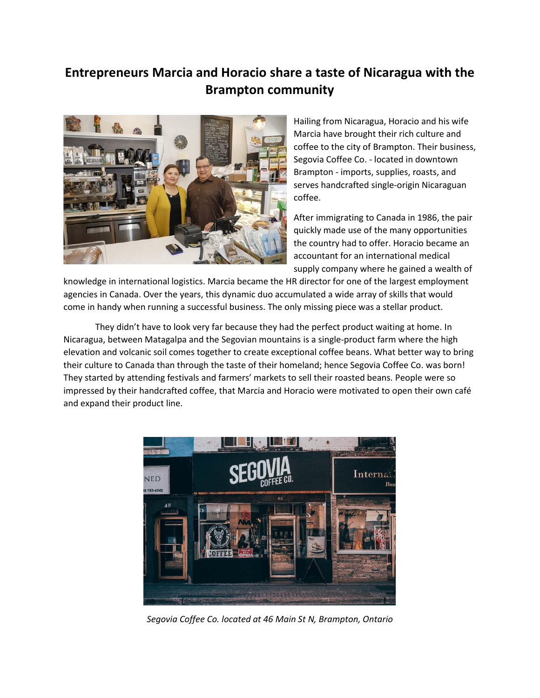## **Entrepreneurs Marcia and Horacio share a taste of Nicaragua with the Brampton community**



Hailing from Nicaragua, Horacio and his wife Marcia have brought their rich culture and coffee to the city of Brampton. Their business, Segovia Coffee Co. - located in downtown Brampton - imports, supplies, roasts, and serves handcrafted single-origin Nicaraguan coffee.

After immigrating to Canada in 1986, the pair quickly made use of the many opportunities the country had to offer. Horacio became an accountant for an international medical supply company where he gained a wealth of

knowledge in international logistics. Marcia became the HR director for one of the largest employment agencies in Canada. Over the years, this dynamic duo accumulated a wide array of skills that would come in handy when running a successful business. The only missing piece was a stellar product.

They didn't have to look very far because they had the perfect product waiting at home. In Nicaragua, between Matagalpa and the Segovian mountains is a single-product farm where the high elevation and volcanic soil comes together to create exceptional coffee beans. What better way to bring their culture to Canada than through the taste of their homeland; hence Segovia Coffee Co. was born! They started by attending festivals and farmers' markets to sell their roasted beans. People were so impressed by their handcrafted coffee, that Marcia and Horacio were motivated to open their own café and expand their product line.



*Segovia Coffee Co. located at 46 Main St N, Brampton, Ontario*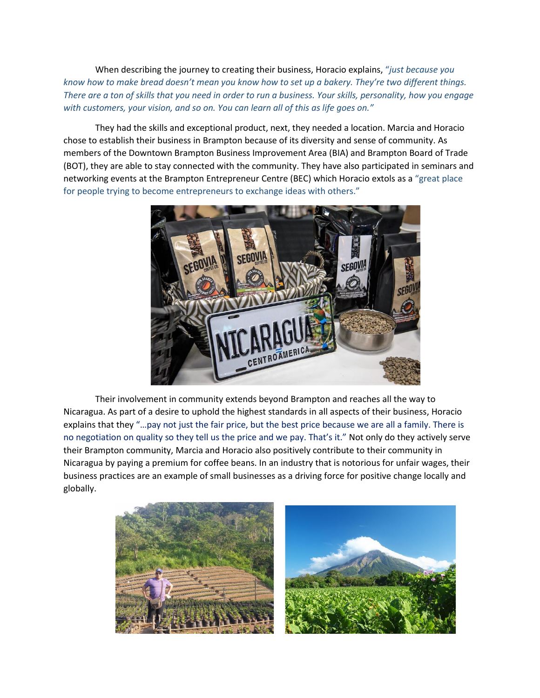When describing the journey to creating their business, Horacio explains, "*just because you know how to make bread doesn't mean you know how to set up a bakery. They're two different things. There are a ton of skills that you need in order to run a business. Your skills, personality, how you engage with customers, your vision, and so on. You can learn all of this as life goes on."*

They had the skills and exceptional product, next, they needed a location. Marcia and Horacio chose to establish their business in Brampton because of its diversity and sense of community. As members of the Downtown Brampton Business Improvement Area (BIA) and Brampton Board of Trade (BOT), they are able to stay connected with the community. They have also participated in seminars and networking events at the Brampton Entrepreneur Centre (BEC) which Horacio extols as a "great place for people trying to become entrepreneurs to exchange ideas with others."



Their involvement in community extends beyond Brampton and reaches all the way to Nicaragua. As part of a desire to uphold the highest standards in all aspects of their business, Horacio explains that they "…pay not just the fair price, but the best price because we are all a family. There is no negotiation on quality so they tell us the price and we pay. That's it." Not only do they actively serve their Brampton community, Marcia and Horacio also positively contribute to their community in Nicaragua by paying a premium for coffee beans. In an industry that is notorious for unfair wages, their business practices are an example of small businesses as a driving force for positive change locally and globally.